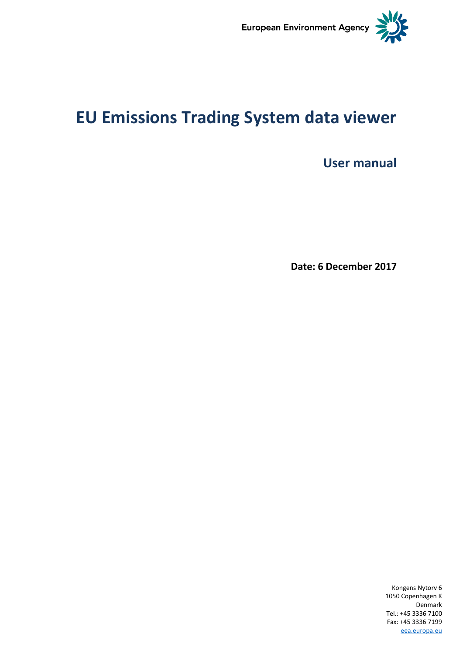

# **EU Emissions Trading System data viewer**

**User manual**

**Date: 6 December 2017**

Kongens Nytorv 6 1050 Copenhagen K Denmark Tel.: +45 3336 7100 Fax: +45 3336 7199 [eea.europa.eu](http://www.eea.europa.eu/)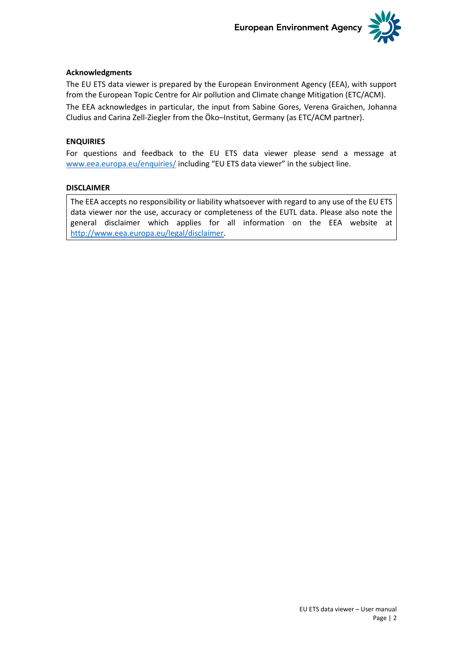

### **Acknowledgments**

The EU ETS data viewer is prepared by the European Environment Agency (EEA), with support from the European Topic Centre for Air pollution and Climate change Mitigation (ETC/ACM).

The EEA acknowledges in particular, the input from Sabine Gores, Verena Graichen, Johanna Cludius and Carina Zell-Ziegler from the Öko–Institut, Germany (as ETC/ACM partner).

### **ENQUIRIES**

For questions and feedback to the EU ETS data viewer please send a message at [www.eea.europa.eu/enquiries/](http://www.eea.europa.eu/help/infocentre/enquiries/portal_factory/Enquiry/enquiry.2009-04-03.2556519962/edit) including "EU ETS data viewer" in the subject line.

#### **DISCLAIMER**

The EEA accepts no responsibility or liability whatsoever with regard to any use of the EU ETS data viewer nor the use, accuracy or completeness of the EUTL data. Please also note the general disclaimer which applies for all information on the EEA website at [http://www.eea.europa.eu/legal/disclaimer.](http://www.eea.europa.eu/legal/disclaimer)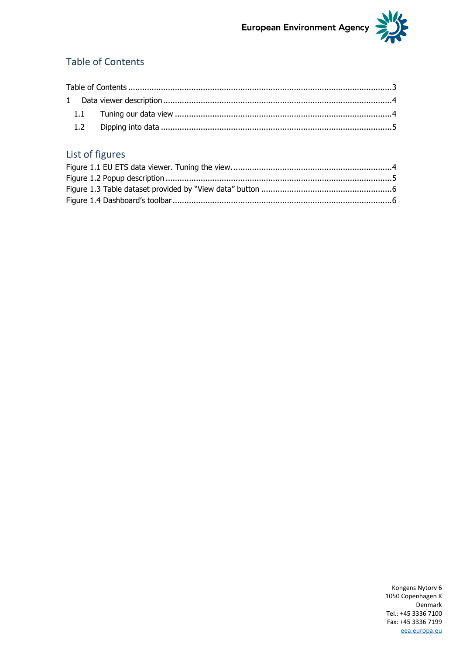### <span id="page-2-0"></span>**Table of Contents**

## List of figures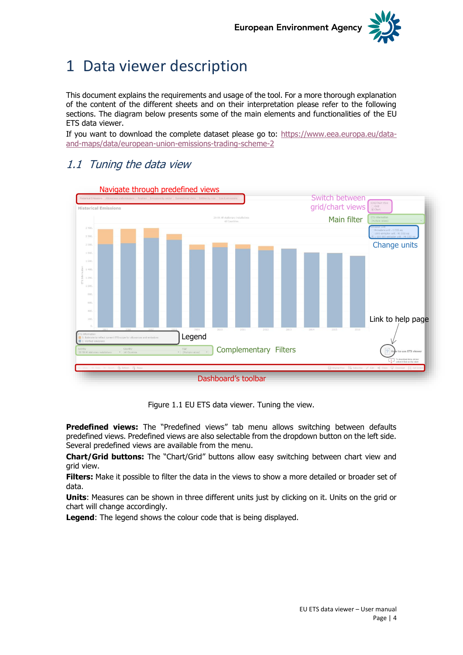

## <span id="page-3-0"></span>1 Data viewer description

This document explains the requirements and usage of the tool. For a more thorough explanation of the content of the different sheets and on their interpretation please refer to the following sections. The diagram below presents some of the main elements and functionalities of the EU ETS data viewer.

If you want to download the complete dataset please go to: [https://www.eea.europa.eu/data](https://www.eea.europa.eu/data-and-maps/data/european-union-emissions-trading-scheme-2)[and-maps/data/european-union-emissions-trading-scheme-2](https://www.eea.europa.eu/data-and-maps/data/european-union-emissions-trading-scheme-2)

## <span id="page-3-1"></span>1.1 Tuning the data view



Figure 1.1 EU ETS data viewer. Tuning the view.

<span id="page-3-2"></span>**Predefined views:** The "Predefined views" tab menu allows switching between defaults predefined views. Predefined views are also selectable from the dropdown button on the left side. Several predefined views are available from the menu.

**Chart/Grid buttons:** The "Chart/Grid" buttons allow easy switching between chart view and grid view.

**Filters:** Make it possible to filter the data in the views to show a more detailed or broader set of data.

**Units**: Measures can be shown in three different units just by clicking on it. Units on the grid or chart will change accordingly.

**Legend**: The legend shows the colour code that is being displayed.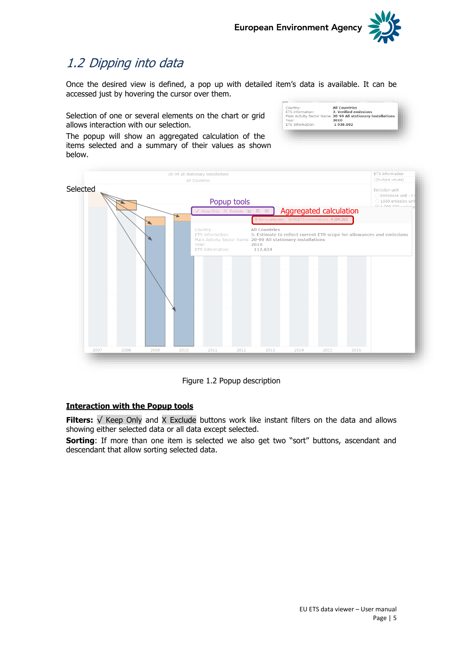-<br>Country:<br>ETS information:<br>Main Activity Sector Name<br>Year: Year:<br>ETS Information:



All Countries<br>2. Verified emissions<br>: 20-99 All stationary installations<br>2010<br>1 938.802

## <span id="page-4-0"></span>1.2 Dipping into data

Once the desired view is defined, a pop up with detailed item's data is available. It can be accessed just by hovering the cursor over them.

Selection of one or several elements on the chart or grid allows interaction with our selection.

The popup will show an aggregated calculation of the items selected and a summary of their values as shown below.



Figure 1.2 Popup description

### <span id="page-4-1"></span>**Interaction with the Popup tools**

**Filters:** √ Keep Only and X Exclude buttons work like instant filters on the data and allows showing either selected data or all data except selected.

**Sorting:** If more than one item is selected we also get two "sort" buttons, ascendant and descendant that allow sorting selected data.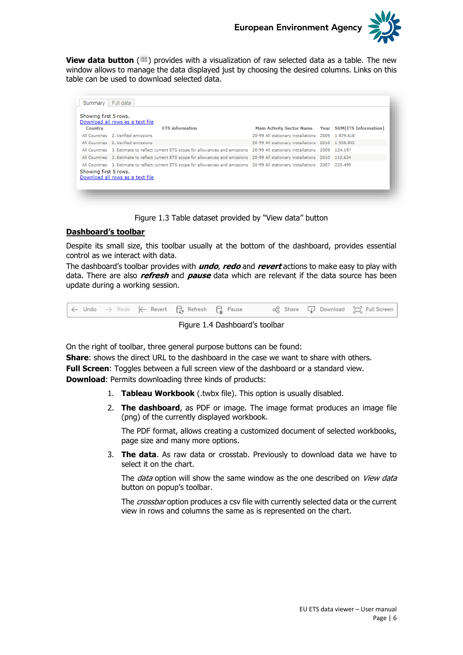

**View data button** ( $\equiv$ ) provides with a visualization of raw selected data as a table. The new window allows to manage the data displayed just by choosing the desired columns. Links on this table can be used to download selected data.

| <b>Country</b>        | Download all rows as a text file<br><b>ETS</b> information                                                                                                              | Main Activity Sector Name Year SUM (ETS Information) |  |
|-----------------------|-------------------------------------------------------------------------------------------------------------------------------------------------------------------------|------------------------------------------------------|--|
|                       | All Countries 2. Verified emissions                                                                                                                                     | 20-99 All stationary installations 2009 1 879.618    |  |
|                       | All Countries 2. Verified emissions                                                                                                                                     | 20-99 All stationary installations 2010 1 938.802    |  |
|                       | All Countries 3. Estimate to reflect current ETS scope for allowances and emissions 20-99 All stationary installations 2009 124.197                                     |                                                      |  |
|                       | All Countries 3. Estimate to reflect current ETS scope for allowances and emissions 20-99 All stationary installations 2010 112.634                                     |                                                      |  |
| Showing first 5 rows. | All Countries 3. Estimate to reflect current ETS scope for allowances and emissions 20-99 All stationary installations 2007 235.499<br>Download all rows as a text file |                                                      |  |

Figure 1.3 Table dataset provided by "View data" button

### <span id="page-5-0"></span>**Dashboard's toolbar**

Despite its small size, this toolbar usually at the bottom of the dashboard, provides essential control as we interact with data.

The dashboard's toolbar provides with **undo**, **redo** and **revert** actions to make easy to play with data. There are also **refresh** and **pause** data which are relevant if the data source has been update during a working session.

<span id="page-5-1"></span>

Figure 1.4 Dashboard's toolbar

On the right of toolbar, three general purpose buttons can be found:

**Share**: shows the direct URL to the dashboard in the case we want to share with others.

**Full Screen**: Toggles between a full screen view of the dashboard or a standard view.

**Download**: Permits downloading three kinds of products:

- 1. **Tableau Workbook** (.twbx file). This option is usually disabled.
- 2. **The dashboard**, as PDF or image. The image format produces an image file (png) of the currently displayed workbook.

The PDF format, allows creating a customized document of selected workbooks, page size and many more options.

3. **The data**. As raw data or crosstab. Previously to download data we have to select it on the chart.

The *data* option will show the same window as the one described on *View data* button on popup's toolbar.

The *crossbar* option produces a csy file with currently selected data or the current view in rows and columns the same as is represented on the chart.